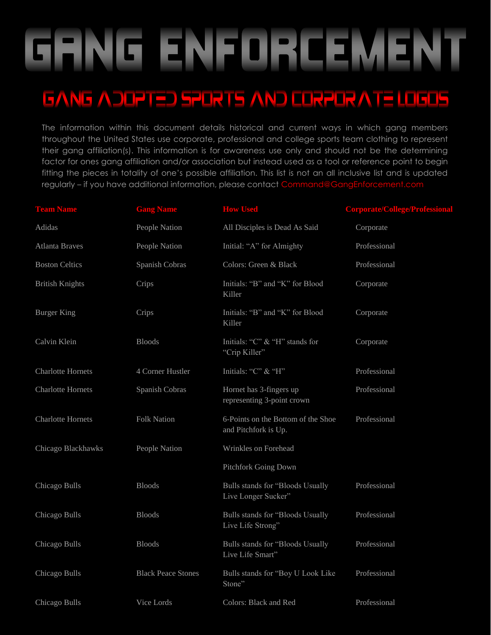# GHNG ENFORCEMENT

#### GANG ADOPTED SPORTS AND CORPORATE LOGOS

The information within this document details historical and current ways in which gang members throughout the United States use corporate, professional and college sports team clothing to represent their gang affiliation(s). This information is for awareness use only and should not be the determining factor for ones gang affiliation and/or association but instead used as a tool or reference point to begin fitting the pieces in totality of one's possible affiliation. This list is not an all inclusive list and is updated regularly - if you have additional information, please contact Command@GangEnforcement.co

| <b>Team Name</b>         | <b>Gang Name</b>          | <b>How Used</b>                                            | <b>Corporate/College/Professional</b> |
|--------------------------|---------------------------|------------------------------------------------------------|---------------------------------------|
| Adidas                   | People Nation             | All Disciples is Dead As Said                              | Corporate                             |
| <b>Atlanta Braves</b>    | People Nation             | Initial: "A" for Almighty                                  | Professional                          |
| <b>Boston Celtics</b>    | Spanish Cobras            | Colors: Green & Black                                      | Professional                          |
| <b>British Knights</b>   | Crips                     | Initials: "B" and "K" for Blood<br>Killer                  | Corporate                             |
| <b>Burger King</b>       | Crips                     | Initials: "B" and "K" for Blood<br>Killer                  | Corporate                             |
| Calvin Klein             | <b>Bloods</b>             | Initials: "C" & "H" stands for<br>"Crip Killer"            | Corporate                             |
| <b>Charlotte Hornets</b> | 4 Corner Hustler          | Initials: "C" & "H"                                        | Professional                          |
| <b>Charlotte Hornets</b> | Spanish Cobras            | Hornet has 3-fingers up<br>representing 3-point crown      | Professional                          |
| <b>Charlotte Hornets</b> | <b>Folk Nation</b>        | 6-Points on the Bottom of the Shoe<br>and Pitchfork is Up. | Professional                          |
| Chicago Blackhawks       | People Nation             | Wrinkles on Forehead                                       |                                       |
|                          |                           | Pitchfork Going Down                                       |                                       |
| Chicago Bulls            | <b>Bloods</b>             | Bulls stands for "Bloods Usually<br>Live Longer Sucker"    | Professional                          |
| Chicago Bulls            | <b>Bloods</b>             | Bulls stands for "Bloods Usually<br>Live Life Strong"      | Professional                          |
| Chicago Bulls            | <b>Bloods</b>             | Bulls stands for "Bloods Usually<br>Live Life Smart"       | Professional                          |
| Chicago Bulls            | <b>Black Peace Stones</b> | Bulls stands for "Boy U Look Like<br>Stone"                | Professional                          |
| Chicago Bulls            | Vice Lords                | Colors: Black and Red                                      | Professional                          |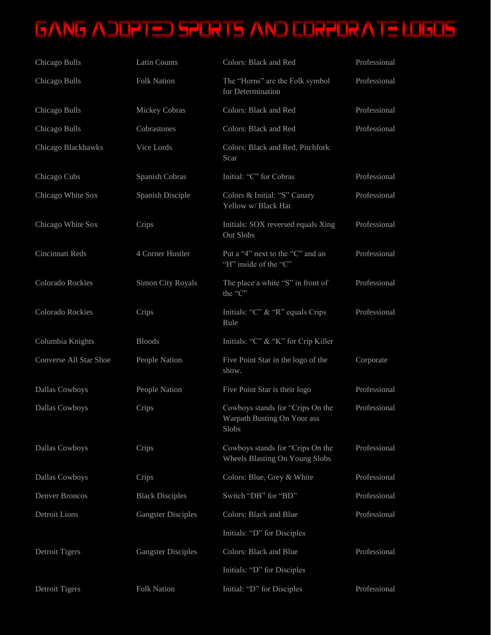| Chicago Bulls                 | <b>Latin Counts</b>       | Colors: Black and Red                                                    | Professional |
|-------------------------------|---------------------------|--------------------------------------------------------------------------|--------------|
| Chicago Bulls                 | <b>Folk Nation</b>        | The "Horns" are the Folk symbol<br>for Determination                     | Professional |
| Chicago Bulls                 | Mickey Cobras             | Colors: Black and Red                                                    | Professional |
| Chicago Bulls                 | Cobrastones               | Colors: Black and Red                                                    | Professional |
| Chicago Blackhawks            | Vice Lords                | Colors: Black and Red, Pitchfork<br>Scar                                 |              |
| Chicago Cubs                  | Spanish Cobras            | Initial: "C" for Cobras                                                  | Professional |
| Chicago White Sox             | Spanish Disciple          | Colors & Initial: "S" Canary<br>Yellow w/ Black Hat                      | Professional |
| Chicago White Sox             | Crips                     | Initials: SOX reversed equals Xing<br>Out Slobs                          | Professional |
| Cincinnati Reds               | 4 Corner Hustler          | Put a "4" next to the "C" and an<br>"H" inside of the "C"                | Professional |
| Colorado Rockies              | Simon City Royals         | The place a white "S" in front of<br>the "C"                             | Professional |
| Colorado Rockies              | Crips                     | Initials: "C" $\&$ "R" equals Crips<br>Rule                              | Professional |
| Columbia Knights              | <b>Bloods</b>             | Initials: "C" & "K" for Crip Killer                                      |              |
| <b>Converse All Star Shoe</b> | People Nation             | Five Point Star in the logo of the<br>show.                              | Corporate    |
| Dallas Cowboys                | People Nation             | Five Point Star is their logo                                            | Professional |
| Dallas Cowboys                | Crips                     | Cowboys stands for "Crips On the<br>Warpath Busting On Your ass<br>Slobs | Professional |
| Dallas Cowboys                | Crips                     | Cowboys stands for "Crips On the<br>Wheels Blasting On Young Slobs       | Professional |
| Dallas Cowboys                | Crips                     | Colors: Blue, Grey & White                                               | Professional |
| Denver Broncos                | <b>Black Disciples</b>    | Switch "DB" for "BD"                                                     | Professional |
| Detroit Lions                 | <b>Gangster Disciples</b> | <b>Colors: Black and Blue</b>                                            | Professional |
|                               |                           | Initials: "D" for Disciples                                              |              |
| <b>Detroit Tigers</b>         | <b>Gangster Disciples</b> | <b>Colors: Black and Blue</b>                                            | Professional |
|                               |                           | Initials: "D" for Disciples                                              |              |
| Detroit Tigers                | <b>Folk Nation</b>        | Initial: "D" for Disciples                                               | Professional |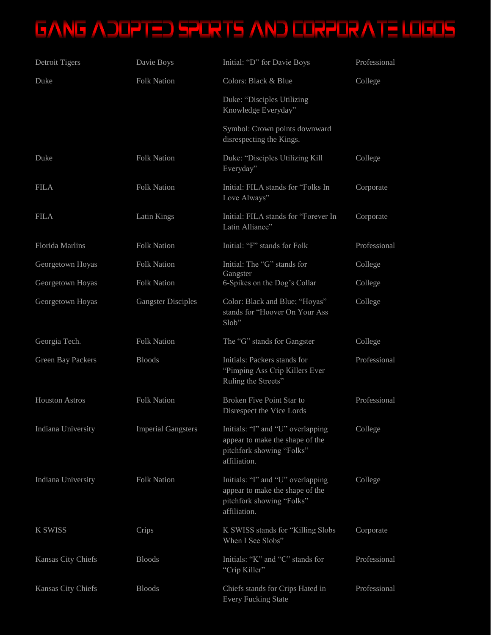| Detroit Tigers           | Davie Boys                | Initial: "D" for Davie Boys                                                                                       | Professional |
|--------------------------|---------------------------|-------------------------------------------------------------------------------------------------------------------|--------------|
| Duke                     | <b>Folk Nation</b>        | Colors: Black & Blue                                                                                              | College      |
|                          |                           | Duke: "Disciples Utilizing<br>Knowledge Everyday"                                                                 |              |
|                          |                           | Symbol: Crown points downward<br>disrespecting the Kings.                                                         |              |
| Duke                     | <b>Folk Nation</b>        | Duke: "Disciples Utilizing Kill<br>Everyday"                                                                      | College      |
| <b>FILA</b>              | <b>Folk Nation</b>        | Initial: FILA stands for "Folks In<br>Love Always"                                                                | Corporate    |
| <b>FILA</b>              | Latin Kings               | Initial: FILA stands for "Forever In<br>Latin Alliance"                                                           | Corporate    |
| <b>Florida Marlins</b>   | <b>Folk Nation</b>        | Initial: "F" stands for Folk                                                                                      | Professional |
| Georgetown Hoyas         | <b>Folk Nation</b>        | Initial: The "G" stands for                                                                                       | College      |
| Georgetown Hoyas         | <b>Folk Nation</b>        | Gangster<br>6-Spikes on the Dog's Collar                                                                          | College      |
| Georgetown Hoyas         | <b>Gangster Disciples</b> | Color: Black and Blue; "Hoyas"<br>stands for "Hoover On Your Ass<br>Slob"                                         | College      |
| Georgia Tech.            | <b>Folk Nation</b>        | The "G" stands for Gangster                                                                                       | College      |
| <b>Green Bay Packers</b> | <b>Bloods</b>             | Initials: Packers stands for<br>"Pimping Ass Crip Killers Ever<br>Ruling the Streets"                             | Professional |
| <b>Houston Astros</b>    | <b>Folk Nation</b>        | Broken Five Point Star to<br>Disrespect the Vice Lords                                                            | Professional |
| Indiana University       | <b>Imperial Gangsters</b> | Initials: "I" and "U" overlapping<br>appear to make the shape of the<br>pitchfork showing "Folks"<br>affiliation. | College      |
| Indiana University       | <b>Folk Nation</b>        | Initials: "I" and "U" overlapping<br>appear to make the shape of the<br>pitchfork showing "Folks"<br>affiliation. | College      |
| <b>K SWISS</b>           | Crips                     | K SWISS stands for "Killing Slobs"<br>When I See Slobs"                                                           | Corporate    |
| Kansas City Chiefs       | <b>Bloods</b>             | Initials: "K" and "C" stands for<br>"Crip Killer"                                                                 | Professional |
| Kansas City Chiefs       | <b>Bloods</b>             | Chiefs stands for Crips Hated in<br><b>Every Fucking State</b>                                                    | Professional |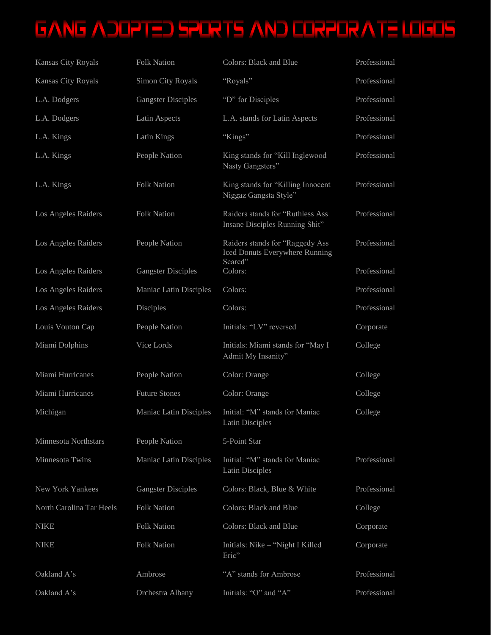| Kansas City Royals       | <b>Folk Nation</b>        | <b>Colors: Black and Blue</b>                                                | Professional |
|--------------------------|---------------------------|------------------------------------------------------------------------------|--------------|
| Kansas City Royals       | <b>Simon City Royals</b>  | "Royals"                                                                     | Professional |
| L.A. Dodgers             | <b>Gangster Disciples</b> | "D" for Disciples                                                            | Professional |
| L.A. Dodgers             | Latin Aspects             | L.A. stands for Latin Aspects                                                | Professional |
| L.A. Kings               | Latin Kings               | "Kings"                                                                      | Professional |
| L.A. Kings               | People Nation             | King stands for "Kill Inglewood<br>Nasty Gangsters"                          | Professional |
| L.A. Kings               | <b>Folk Nation</b>        | King stands for "Killing Innocent<br>Niggaz Gangsta Style"                   | Professional |
| Los Angeles Raiders      | <b>Folk Nation</b>        | Raiders stands for "Ruthless Ass<br>Insane Disciples Running Shit"           | Professional |
| Los Angeles Raiders      | People Nation             | Raiders stands for "Raggedy Ass<br>Iced Donuts Everywhere Running<br>Scared" | Professional |
| Los Angeles Raiders      | <b>Gangster Disciples</b> | Colors:                                                                      | Professional |
| Los Angeles Raiders      | Maniac Latin Disciples    | Colors:                                                                      | Professional |
| Los Angeles Raiders      | Disciples                 | Colors:                                                                      | Professional |
| Louis Vouton Cap         | People Nation             | Initials: "LV" reversed                                                      | Corporate    |
| Miami Dolphins           | Vice Lords                | Initials: Miami stands for "May I<br>Admit My Insanity"                      | College      |
| Miami Hurricanes         | People Nation             | Color: Orange                                                                | College      |
| Miami Hurricanes         | <b>Future Stones</b>      | Color: Orange                                                                | College      |
| Michigan                 | Maniac Latin Disciples    | Initial: "M" stands for Maniac<br><b>Latin Disciples</b>                     | College      |
| Minnesota Northstars     | People Nation             | 5-Point Star                                                                 |              |
| Minnesota Twins          | Maniac Latin Disciples    | Initial: "M" stands for Maniac<br><b>Latin Disciples</b>                     | Professional |
| New York Yankees         | <b>Gangster Disciples</b> | Colors: Black, Blue & White                                                  | Professional |
| North Carolina Tar Heels | <b>Folk Nation</b>        | <b>Colors: Black and Blue</b>                                                | College      |
| <b>NIKE</b>              | <b>Folk Nation</b>        | <b>Colors: Black and Blue</b>                                                | Corporate    |
| <b>NIKE</b>              | <b>Folk Nation</b>        | Initials: Nike - "Night I Killed<br>Eric"                                    | Corporate    |
| Oakland A's              | Ambrose                   | "A" stands for Ambrose                                                       | Professional |
| Oakland A's              | Orchestra Albany          | Initials: "O" and "A"                                                        | Professional |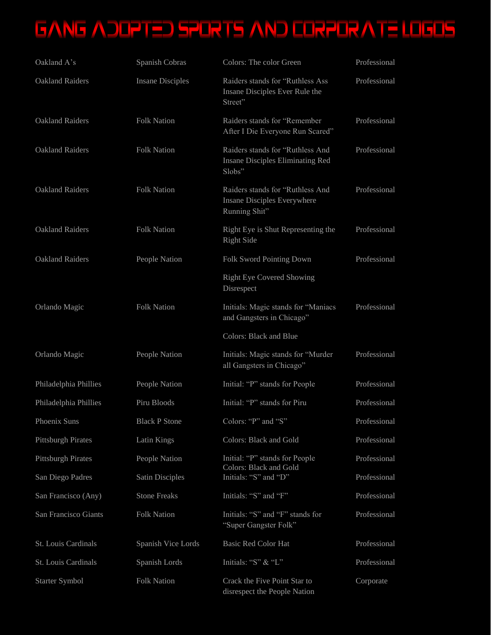| Oakland A's               | Spanish Cobras          | Colors: The color Green                                                          | Professional |
|---------------------------|-------------------------|----------------------------------------------------------------------------------|--------------|
| <b>Oakland Raiders</b>    | <b>Insane Disciples</b> | Raiders stands for "Ruthless Ass<br>Insane Disciples Ever Rule the<br>Street"    | Professional |
| <b>Oakland Raiders</b>    | <b>Folk Nation</b>      | Raiders stands for "Remember<br>After I Die Everyone Run Scared"                 | Professional |
| <b>Oakland Raiders</b>    | <b>Folk Nation</b>      | Raiders stands for "Ruthless And<br>Insane Disciples Eliminating Red<br>Slobs"   | Professional |
| <b>Oakland Raiders</b>    | <b>Folk Nation</b>      | Raiders stands for "Ruthless And<br>Insane Disciples Everywhere<br>Running Shit" | Professional |
| <b>Oakland Raiders</b>    | <b>Folk Nation</b>      | Right Eye is Shut Representing the<br><b>Right Side</b>                          | Professional |
| <b>Oakland Raiders</b>    | People Nation           | Folk Sword Pointing Down                                                         | Professional |
|                           |                         | <b>Right Eye Covered Showing</b><br>Disrespect                                   |              |
| Orlando Magic             | <b>Folk Nation</b>      | Initials: Magic stands for "Maniacs<br>and Gangsters in Chicago"                 | Professional |
|                           |                         | Colors: Black and Blue                                                           |              |
| Orlando Magic             | People Nation           | Initials: Magic stands for "Murder<br>all Gangsters in Chicago"                  | Professional |
| Philadelphia Phillies     | People Nation           | Initial: "P" stands for People                                                   | Professional |
| Philadelphia Phillies     | Piru Bloods             | Initial: "P" stands for Piru                                                     | Professional |
| Phoenix Suns              | <b>Black P Stone</b>    | Colors: "P" and "S"                                                              | Professional |
| <b>Pittsburgh Pirates</b> | Latin Kings             | Colors: Black and Gold                                                           | Professional |
| <b>Pittsburgh Pirates</b> | People Nation           | Initial: "P" stands for People                                                   | Professional |
| San Diego Padres          | <b>Satin Disciples</b>  | Colors: Black and Gold<br>Initials: "S" and "D"                                  | Professional |
| San Francisco (Any)       | <b>Stone Freaks</b>     | Initials: "S" and "F"                                                            | Professional |
| San Francisco Giants      | <b>Folk Nation</b>      | Initials: "S" and "F" stands for<br>"Super Gangster Folk"                        | Professional |
| St. Louis Cardinals       | Spanish Vice Lords      | <b>Basic Red Color Hat</b>                                                       | Professional |
| St. Louis Cardinals       | Spanish Lords           | Initials: "S" & "L"                                                              | Professional |
| <b>Starter Symbol</b>     | <b>Folk Nation</b>      | Crack the Five Point Star to<br>disrespect the People Nation                     | Corporate    |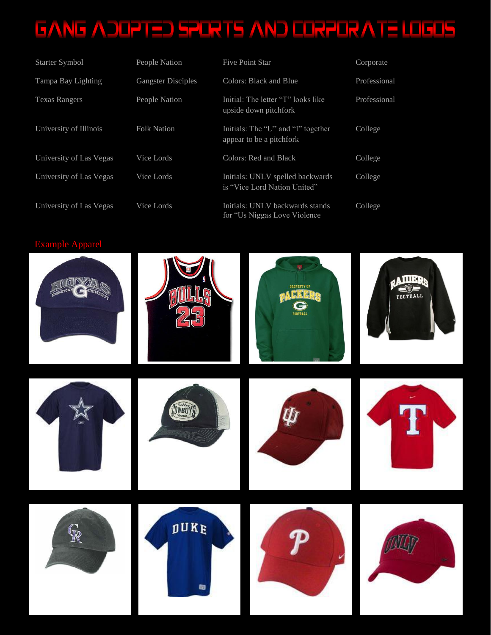| Starter Symbol          | People Nation             | <b>Five Point Star</b>                                           | Corporate    |
|-------------------------|---------------------------|------------------------------------------------------------------|--------------|
| Tampa Bay Lighting      | <b>Gangster Disciples</b> | Colors: Black and Blue                                           | Professional |
| <b>Texas Rangers</b>    | People Nation             | Initial: The letter "T" looks like<br>upside down pitchfork      | Professional |
| University of Illinois  | <b>Folk Nation</b>        | Initials: The "U" and "I" together<br>appear to be a pitchfork   | College      |
| University of Las Vegas | Vice Lords                | Colors: Red and Black                                            | College      |
| University of Las Vegas | Vice Lords                | Initials: UNLV spelled backwards<br>is "Vice Lord Nation United" | College      |
| University of Las Vegas | Vice Lords                | Initials: UNLV backwards stands<br>for "Us Niggas Love Violence" | College      |

#### Example Apparel